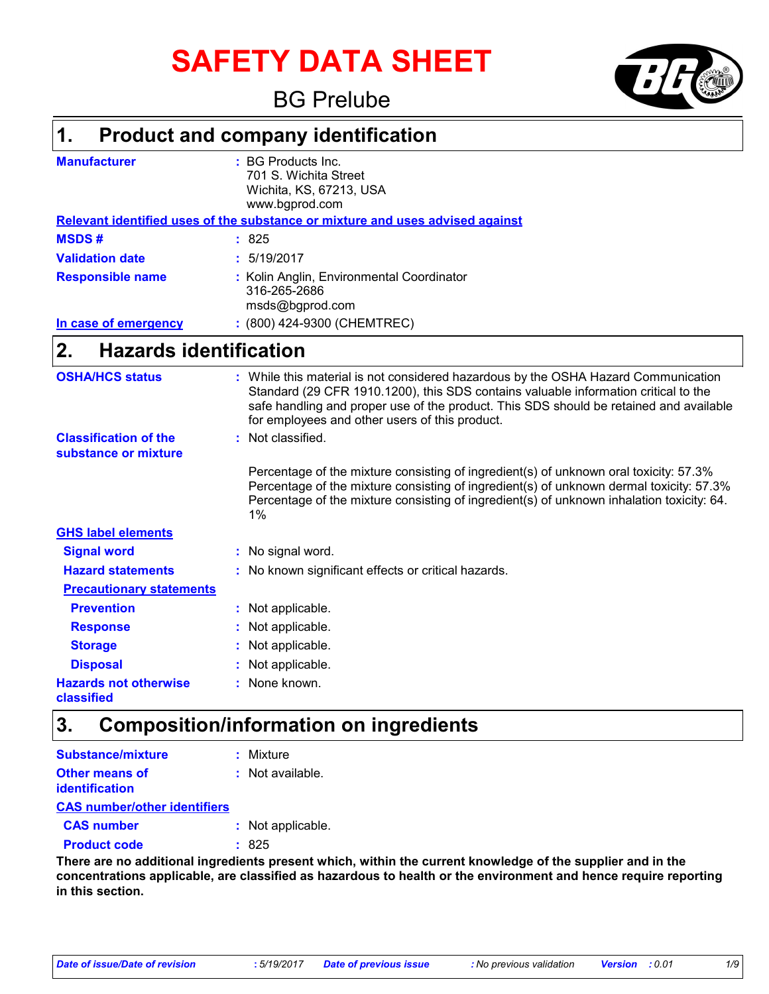# **SAFETY DATA SHEET**

### BG Prelube

#### **Product and company identification 1.**

| <b>Manufacturer</b>     | $\pm$ BG Products Inc.<br>701 S. Wichita Street<br>Wichita, KS, 67213, USA<br>www.bgprod.com |
|-------------------------|----------------------------------------------------------------------------------------------|
|                         | Relevant identified uses of the substance or mixture and uses advised against                |
| <b>MSDS#</b>            | : 825                                                                                        |
| <b>Validation date</b>  | : 5/19/2017                                                                                  |
| <b>Responsible name</b> | : Kolin Anglin, Environmental Coordinator<br>316-265-2686<br>msds@bgprod.com                 |
| In case of emergency    | : (800) 424-9300 (CHEMTREC)                                                                  |

#### **Hazards identification 2.**

| <b>OSHA/HCS status</b>                               | : While this material is not considered hazardous by the OSHA Hazard Communication<br>Standard (29 CFR 1910.1200), this SDS contains valuable information critical to the<br>safe handling and proper use of the product. This SDS should be retained and available<br>for employees and other users of this product. |
|------------------------------------------------------|-----------------------------------------------------------------------------------------------------------------------------------------------------------------------------------------------------------------------------------------------------------------------------------------------------------------------|
| <b>Classification of the</b><br>substance or mixture | : Not classified.                                                                                                                                                                                                                                                                                                     |
|                                                      | Percentage of the mixture consisting of ingredient(s) of unknown oral toxicity: 57.3%<br>Percentage of the mixture consisting of ingredient(s) of unknown dermal toxicity: 57.3%<br>Percentage of the mixture consisting of ingredient(s) of unknown inhalation toxicity: 64.<br>$1\%$                                |
| <b>GHS label elements</b>                            |                                                                                                                                                                                                                                                                                                                       |
| <b>Signal word</b>                                   | : No signal word.                                                                                                                                                                                                                                                                                                     |
| <b>Hazard statements</b>                             | : No known significant effects or critical hazards.                                                                                                                                                                                                                                                                   |
| <b>Precautionary statements</b>                      |                                                                                                                                                                                                                                                                                                                       |
| <b>Prevention</b>                                    | : Not applicable.                                                                                                                                                                                                                                                                                                     |
| <b>Response</b>                                      | : Not applicable.                                                                                                                                                                                                                                                                                                     |
| <b>Storage</b>                                       | : Not applicable.                                                                                                                                                                                                                                                                                                     |
| <b>Disposal</b>                                      | : Not applicable.                                                                                                                                                                                                                                                                                                     |
| <b>Hazards not otherwise</b><br><b>classified</b>    | : None known.                                                                                                                                                                                                                                                                                                         |

### **3. Composition/information on ingredients**

| <b>Substance/mixture</b>            | : Mixture         |
|-------------------------------------|-------------------|
| <b>Other means of</b>               | : Not available.  |
| identification                      |                   |
| <b>CAS number/other identifiers</b> |                   |
| <b>CAS number</b>                   | : Not applicable. |
| <b>Product code</b>                 | : 825             |

**There are no additional ingredients present which, within the current knowledge of the supplier and in the concentrations applicable, are classified as hazardous to health or the environment and hence require reporting in this section.**

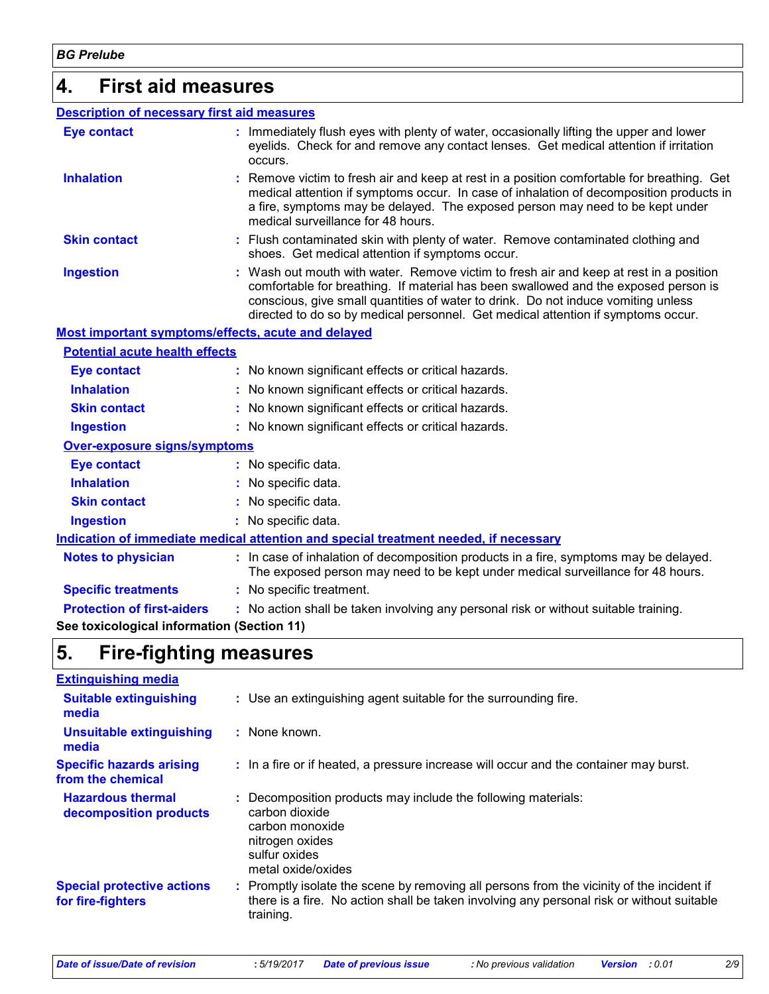### **4. First aid measures**

| <b>Description of necessary first aid measures</b>        |                                                                                                                                                                                                                                                                                                                                                        |
|-----------------------------------------------------------|--------------------------------------------------------------------------------------------------------------------------------------------------------------------------------------------------------------------------------------------------------------------------------------------------------------------------------------------------------|
| <b>Eye contact</b>                                        | : Immediately flush eyes with plenty of water, occasionally lifting the upper and lower<br>eyelids. Check for and remove any contact lenses. Get medical attention if irritation<br>occurs.                                                                                                                                                            |
| <b>Inhalation</b>                                         | Remove victim to fresh air and keep at rest in a position comfortable for breathing. Get<br>medical attention if symptoms occur. In case of inhalation of decomposition products in<br>a fire, symptoms may be delayed. The exposed person may need to be kept under<br>medical surveillance for 48 hours.                                             |
| <b>Skin contact</b>                                       | : Flush contaminated skin with plenty of water. Remove contaminated clothing and<br>shoes. Get medical attention if symptoms occur.                                                                                                                                                                                                                    |
| <b>Ingestion</b>                                          | : Wash out mouth with water. Remove victim to fresh air and keep at rest in a position<br>comfortable for breathing. If material has been swallowed and the exposed person is<br>conscious, give small quantities of water to drink. Do not induce vomiting unless<br>directed to do so by medical personnel. Get medical attention if symptoms occur. |
| <b>Most important symptoms/effects, acute and delayed</b> |                                                                                                                                                                                                                                                                                                                                                        |
| <b>Potential acute health effects</b>                     |                                                                                                                                                                                                                                                                                                                                                        |
| <b>Eye contact</b>                                        | : No known significant effects or critical hazards.                                                                                                                                                                                                                                                                                                    |
| <b>Inhalation</b>                                         | : No known significant effects or critical hazards.                                                                                                                                                                                                                                                                                                    |
| <b>Skin contact</b>                                       | : No known significant effects or critical hazards.                                                                                                                                                                                                                                                                                                    |
| <b>Ingestion</b>                                          | : No known significant effects or critical hazards.                                                                                                                                                                                                                                                                                                    |
| Over-exposure signs/symptoms                              |                                                                                                                                                                                                                                                                                                                                                        |
| <b>Eye contact</b>                                        | : No specific data.                                                                                                                                                                                                                                                                                                                                    |
| <b>Inhalation</b>                                         | : No specific data.                                                                                                                                                                                                                                                                                                                                    |
| <b>Skin contact</b>                                       | No specific data.                                                                                                                                                                                                                                                                                                                                      |
| <b>Ingestion</b>                                          | : No specific data.                                                                                                                                                                                                                                                                                                                                    |
|                                                           | Indication of immediate medical attention and special treatment needed, if necessary                                                                                                                                                                                                                                                                   |
| <b>Notes to physician</b>                                 | : In case of inhalation of decomposition products in a fire, symptoms may be delayed.<br>The exposed person may need to be kept under medical surveillance for 48 hours.                                                                                                                                                                               |
| <b>Specific treatments</b>                                | : No specific treatment.                                                                                                                                                                                                                                                                                                                               |
| <b>Protection of first-aiders</b>                         | : No action shall be taken involving any personal risk or without suitable training.                                                                                                                                                                                                                                                                   |
| See toxicological information (Section 11)                |                                                                                                                                                                                                                                                                                                                                                        |

## **5. Fire-fighting measures**

| <b>Extinguishing media</b>                             |                                                                                                                                                                                                     |
|--------------------------------------------------------|-----------------------------------------------------------------------------------------------------------------------------------------------------------------------------------------------------|
| <b>Suitable extinguishing</b><br>media                 | : Use an extinguishing agent suitable for the surrounding fire.                                                                                                                                     |
| <b>Unsuitable extinguishing</b><br>media               | : None known.                                                                                                                                                                                       |
| <b>Specific hazards arising</b><br>from the chemical   | : In a fire or if heated, a pressure increase will occur and the container may burst.                                                                                                               |
| <b>Hazardous thermal</b><br>decomposition products     | : Decomposition products may include the following materials:<br>carbon dioxide<br>carbon monoxide<br>nitrogen oxides<br>sulfur oxides<br>metal oxide/oxides                                        |
| <b>Special protective actions</b><br>for fire-fighters | : Promptly isolate the scene by removing all persons from the vicinity of the incident if<br>there is a fire. No action shall be taken involving any personal risk or without suitable<br>training. |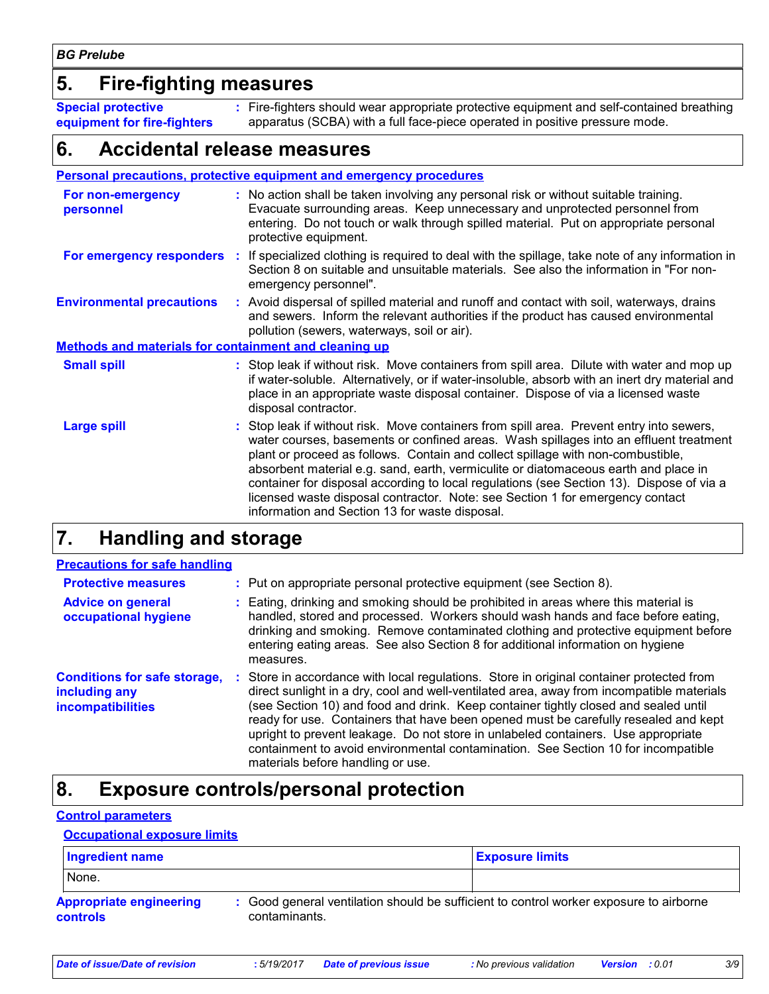### **5. Fire-fighting measures**

**Special protective equipment for fire-fighters** Fire-fighters should wear appropriate protective equipment and self-contained breathing **:** apparatus (SCBA) with a full face-piece operated in positive pressure mode.

### **6. Accidental release measures**

|                                                              | <b>Personal precautions, protective equipment and emergency procedures</b>                                                                                                                                                                                                                                                                                                                                                                                                                                                                                                                 |
|--------------------------------------------------------------|--------------------------------------------------------------------------------------------------------------------------------------------------------------------------------------------------------------------------------------------------------------------------------------------------------------------------------------------------------------------------------------------------------------------------------------------------------------------------------------------------------------------------------------------------------------------------------------------|
| For non-emergency<br>personnel                               | : No action shall be taken involving any personal risk or without suitable training.<br>Evacuate surrounding areas. Keep unnecessary and unprotected personnel from<br>entering. Do not touch or walk through spilled material. Put on appropriate personal<br>protective equipment.                                                                                                                                                                                                                                                                                                       |
| For emergency responders                                     | : If specialized clothing is required to deal with the spillage, take note of any information in<br>Section 8 on suitable and unsuitable materials. See also the information in "For non-<br>emergency personnel".                                                                                                                                                                                                                                                                                                                                                                         |
| <b>Environmental precautions</b>                             | : Avoid dispersal of spilled material and runoff and contact with soil, waterways, drains<br>and sewers. Inform the relevant authorities if the product has caused environmental<br>pollution (sewers, waterways, soil or air).                                                                                                                                                                                                                                                                                                                                                            |
| <b>Methods and materials for containment and cleaning up</b> |                                                                                                                                                                                                                                                                                                                                                                                                                                                                                                                                                                                            |
| <b>Small spill</b>                                           | : Stop leak if without risk. Move containers from spill area. Dilute with water and mop up<br>if water-soluble. Alternatively, or if water-insoluble, absorb with an inert dry material and<br>place in an appropriate waste disposal container. Dispose of via a licensed waste<br>disposal contractor.                                                                                                                                                                                                                                                                                   |
| <b>Large spill</b>                                           | : Stop leak if without risk. Move containers from spill area. Prevent entry into sewers,<br>water courses, basements or confined areas. Wash spillages into an effluent treatment<br>plant or proceed as follows. Contain and collect spillage with non-combustible,<br>absorbent material e.g. sand, earth, vermiculite or diatomaceous earth and place in<br>container for disposal according to local regulations (see Section 13). Dispose of via a<br>licensed waste disposal contractor. Note: see Section 1 for emergency contact<br>information and Section 13 for waste disposal. |

### **7. Handling and storage**

| <b>Precautions for safe handling</b>                                             |    |                                                                                                                                                                                                                                                                                                                                                                                                                                                                                                                                                                                  |
|----------------------------------------------------------------------------------|----|----------------------------------------------------------------------------------------------------------------------------------------------------------------------------------------------------------------------------------------------------------------------------------------------------------------------------------------------------------------------------------------------------------------------------------------------------------------------------------------------------------------------------------------------------------------------------------|
| <b>Protective measures</b>                                                       |    | : Put on appropriate personal protective equipment (see Section 8).                                                                                                                                                                                                                                                                                                                                                                                                                                                                                                              |
| <b>Advice on general</b><br>occupational hygiene                                 |    | : Eating, drinking and smoking should be prohibited in areas where this material is<br>handled, stored and processed. Workers should wash hands and face before eating,<br>drinking and smoking. Remove contaminated clothing and protective equipment before<br>entering eating areas. See also Section 8 for additional information on hygiene<br>measures.                                                                                                                                                                                                                    |
| <b>Conditions for safe storage,</b><br>including any<br><b>incompatibilities</b> | ÷. | Store in accordance with local regulations. Store in original container protected from<br>direct sunlight in a dry, cool and well-ventilated area, away from incompatible materials<br>(see Section 10) and food and drink. Keep container tightly closed and sealed until<br>ready for use. Containers that have been opened must be carefully resealed and kept<br>upright to prevent leakage. Do not store in unlabeled containers. Use appropriate<br>containment to avoid environmental contamination. See Section 10 for incompatible<br>materials before handling or use. |

### **8. Exposure controls/personal protection**

### **Control parameters**

### **Occupational exposure limits**

| Ingredient name                                   |                                                                                                         | <b>Exposure limits</b> |
|---------------------------------------------------|---------------------------------------------------------------------------------------------------------|------------------------|
| None.                                             |                                                                                                         |                        |
| <b>Appropriate engineering</b><br><b>controls</b> | : Good general ventilation should be sufficient to control worker exposure to airborne<br>contaminants. |                        |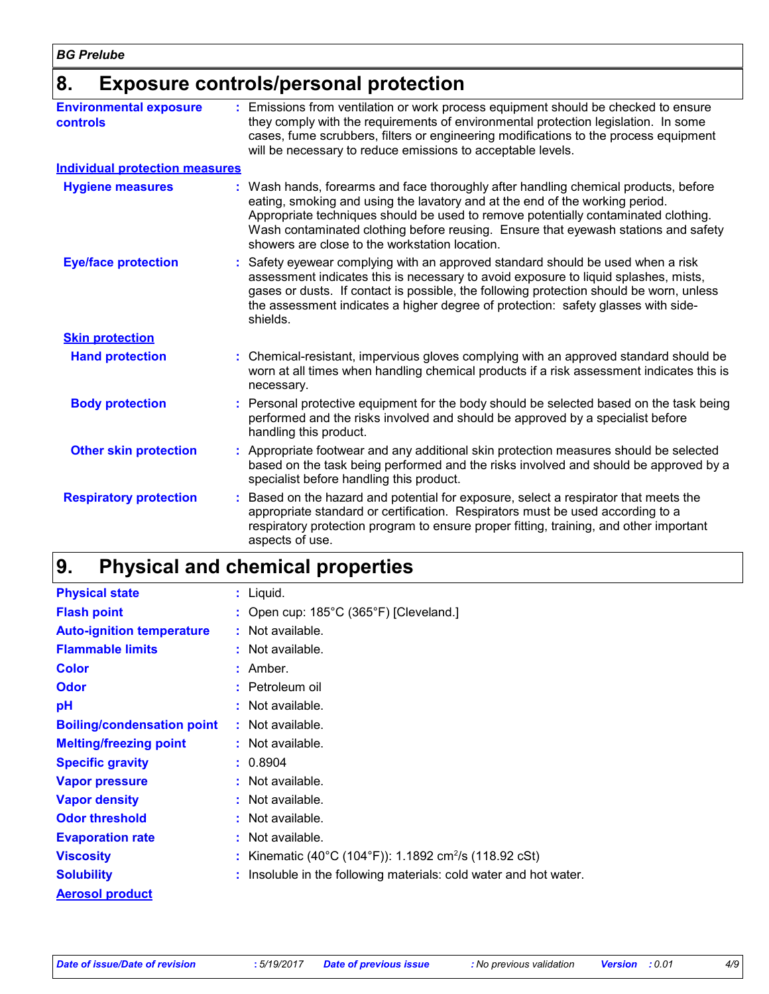### **8. Exposure controls/personal protection**

| <b>Environmental exposure</b><br><b>controls</b> | Emissions from ventilation or work process equipment should be checked to ensure<br>they comply with the requirements of environmental protection legislation. In some<br>cases, fume scrubbers, filters or engineering modifications to the process equipment<br>will be necessary to reduce emissions to acceptable levels.                                                                   |
|--------------------------------------------------|-------------------------------------------------------------------------------------------------------------------------------------------------------------------------------------------------------------------------------------------------------------------------------------------------------------------------------------------------------------------------------------------------|
| <b>Individual protection measures</b>            |                                                                                                                                                                                                                                                                                                                                                                                                 |
| <b>Hygiene measures</b>                          | Wash hands, forearms and face thoroughly after handling chemical products, before<br>eating, smoking and using the lavatory and at the end of the working period.<br>Appropriate techniques should be used to remove potentially contaminated clothing.<br>Wash contaminated clothing before reusing. Ensure that eyewash stations and safety<br>showers are close to the workstation location. |
| <b>Eye/face protection</b>                       | Safety eyewear complying with an approved standard should be used when a risk<br>assessment indicates this is necessary to avoid exposure to liquid splashes, mists,<br>gases or dusts. If contact is possible, the following protection should be worn, unless<br>the assessment indicates a higher degree of protection: safety glasses with side-<br>shields.                                |
| <b>Skin protection</b>                           |                                                                                                                                                                                                                                                                                                                                                                                                 |
| <b>Hand protection</b>                           | Chemical-resistant, impervious gloves complying with an approved standard should be<br>worn at all times when handling chemical products if a risk assessment indicates this is<br>necessary.                                                                                                                                                                                                   |
| <b>Body protection</b>                           | Personal protective equipment for the body should be selected based on the task being<br>performed and the risks involved and should be approved by a specialist before<br>handling this product.                                                                                                                                                                                               |
| <b>Other skin protection</b>                     | Appropriate footwear and any additional skin protection measures should be selected<br>based on the task being performed and the risks involved and should be approved by a<br>specialist before handling this product.                                                                                                                                                                         |
| <b>Respiratory protection</b>                    | Based on the hazard and potential for exposure, select a respirator that meets the<br>appropriate standard or certification. Respirators must be used according to a<br>respiratory protection program to ensure proper fitting, training, and other important<br>aspects of use.                                                                                                               |

#### **Physical and chemical properties 9.**

| <b>Physical state</b>             | $:$ Liquid.                                                        |
|-----------------------------------|--------------------------------------------------------------------|
| <b>Flash point</b>                | : Open cup: $185^{\circ}$ C (365 $^{\circ}$ F) [Cleveland.]        |
| <b>Auto-ignition temperature</b>  | : Not available.                                                   |
| <b>Flammable limits</b>           | : Not available.                                                   |
| <b>Color</b>                      | : Amber.                                                           |
| <b>Odor</b>                       | : Petroleum oil                                                    |
| pH                                | : Not available.                                                   |
| <b>Boiling/condensation point</b> | : Not available.                                                   |
| <b>Melting/freezing point</b>     | : Not available.                                                   |
| <b>Specific gravity</b>           | : 0.8904                                                           |
| <b>Vapor pressure</b>             | : Not available.                                                   |
| <b>Vapor density</b>              | : Not available.                                                   |
| <b>Odor threshold</b>             | : Not available.                                                   |
| <b>Evaporation rate</b>           | : Not available.                                                   |
| <b>Viscosity</b>                  | : Kinematic (40°C (104°F)): 1.1892 cm <sup>2</sup> /s (118.92 cSt) |
| <b>Solubility</b>                 | : Insoluble in the following materials: cold water and hot water.  |
| <b>Aerosol product</b>            |                                                                    |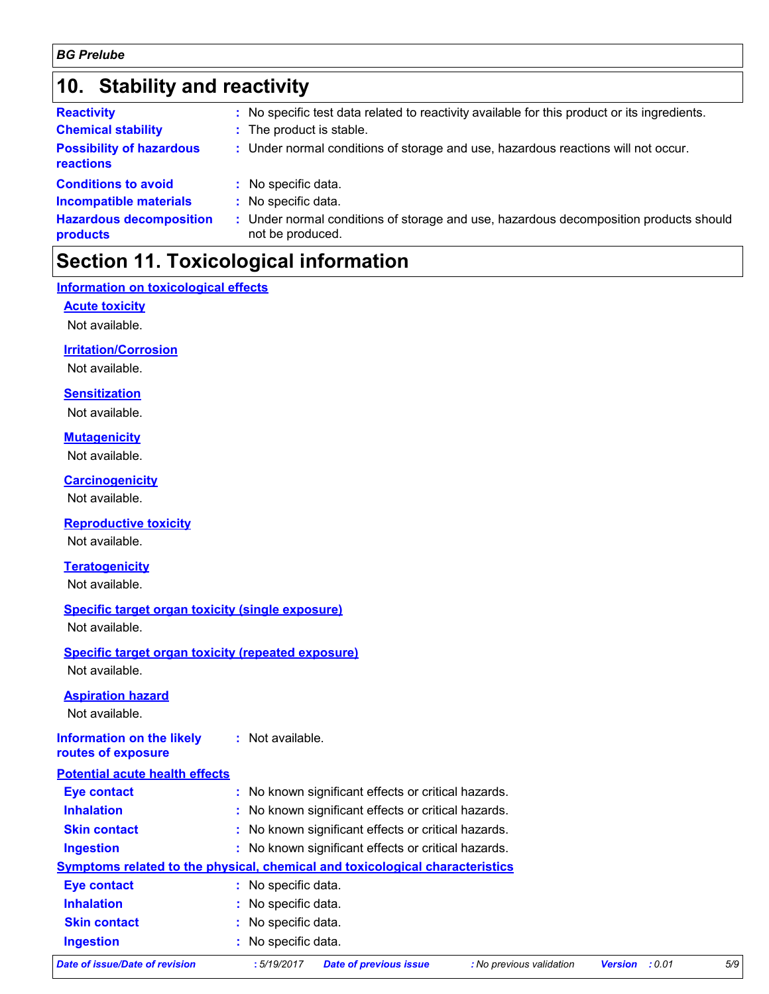### **10. Stability and reactivity**

| <b>Reactivity</b>                            | : No specific test data related to reactivity available for this product or its ingredients.              |
|----------------------------------------------|-----------------------------------------------------------------------------------------------------------|
| <b>Chemical stability</b>                    | : The product is stable.                                                                                  |
| <b>Possibility of hazardous</b><br>reactions | : Under normal conditions of storage and use, hazardous reactions will not occur.                         |
| <b>Conditions to avoid</b>                   | : No specific data.                                                                                       |
| <b>Incompatible materials</b>                | : No specific data.                                                                                       |
| <b>Hazardous decomposition</b><br>products   | : Under normal conditions of storage and use, hazardous decomposition products should<br>not be produced. |

### **Section 11. Toxicological information**

#### **Information on toxicological effects**

**Acute toxicity**

Not available.

### **Irritation/Corrosion**

Not available.

### **Sensitization**

Not available.

#### **Mutagenicity**

Not available.

### **Carcinogenicity**

Not available.

### **Reproductive toxicity**

Not available.

### **Teratogenicity**

Not available.

### **Specific target organ toxicity (single exposure)**

Not available.

### **Specific target organ toxicity (repeated exposure)** Not available.

### **Aspiration hazard**

Not available.

#### **Information on the likely :** Not available.

**routes of exposure**

### **Potential acute health effects**

| <b>Eye contact</b>                                                           |                     | : No known significant effects or critical hazards. |                          |                |        |     |
|------------------------------------------------------------------------------|---------------------|-----------------------------------------------------|--------------------------|----------------|--------|-----|
| <b>Inhalation</b>                                                            |                     | : No known significant effects or critical hazards. |                          |                |        |     |
| <b>Skin contact</b>                                                          |                     | : No known significant effects or critical hazards. |                          |                |        |     |
| <b>Ingestion</b>                                                             |                     | : No known significant effects or critical hazards. |                          |                |        |     |
| Symptoms related to the physical, chemical and toxicological characteristics |                     |                                                     |                          |                |        |     |
| <b>Eye contact</b>                                                           | : No specific data. |                                                     |                          |                |        |     |
| <b>Inhalation</b>                                                            | : No specific data. |                                                     |                          |                |        |     |
| <b>Skin contact</b>                                                          | : No specific data. |                                                     |                          |                |        |     |
| <b>Ingestion</b>                                                             | : No specific data. |                                                     |                          |                |        |     |
| <b>Date of issue/Date of revision</b>                                        | :5/19/2017          | <b>Date of previous issue</b>                       | : No previous validation | <b>Version</b> | : 0.01 | 5/S |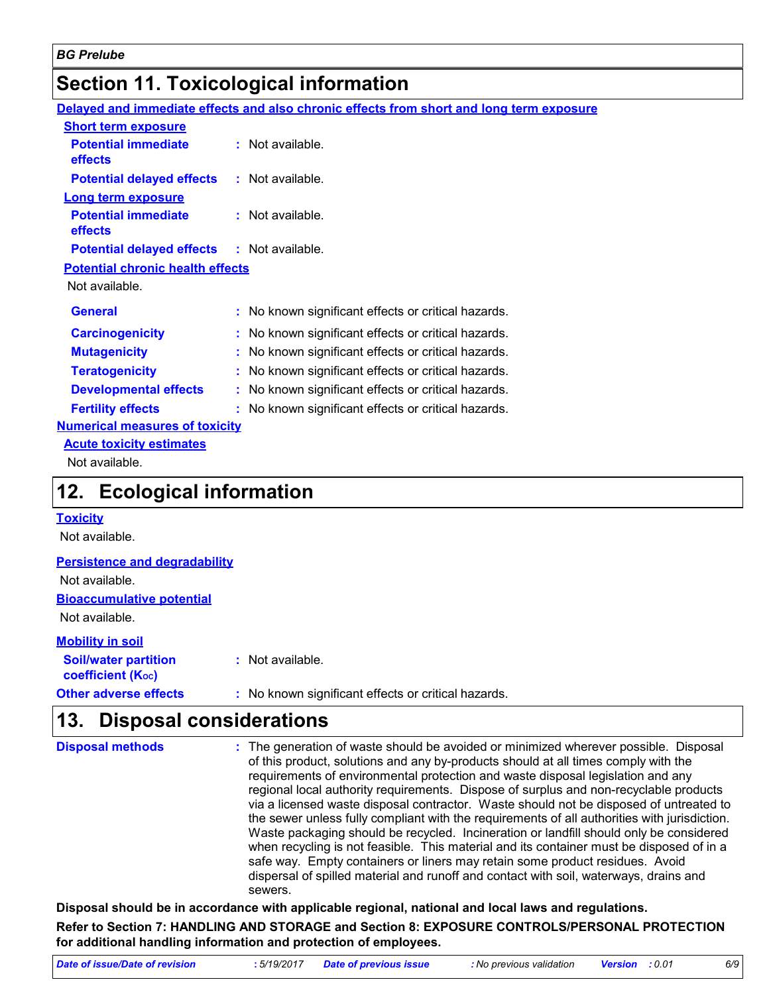### **Section 11. Toxicological information**

**Delayed and immediate effects and also chronic effects from short and long term exposure**

| <b>Short term exposure</b>                        |                                                     |
|---------------------------------------------------|-----------------------------------------------------|
| <b>Potential immediate</b><br>effects             | $:$ Not available.                                  |
| <b>Potential delayed effects : Not available.</b> |                                                     |
| <b>Long term exposure</b>                         |                                                     |
| <b>Potential immediate</b><br>effects             | : Not available.                                    |
| Potential delayed effects : Not available.        |                                                     |
| <b>Potential chronic health effects</b>           |                                                     |
| Not available.                                    |                                                     |
| <b>General</b>                                    | : No known significant effects or critical hazards. |
|                                                   |                                                     |
| <b>Carcinogenicity</b>                            | : No known significant effects or critical hazards. |
| <b>Mutagenicity</b>                               | No known significant effects or critical hazards.   |
| <b>Teratogenicity</b>                             | No known significant effects or critical hazards.   |
| <b>Developmental effects</b>                      | No known significant effects or critical hazards.   |
| <b>Fertility effects</b>                          | : No known significant effects or critical hazards. |
| <b>Numerical measures of toxicity</b>             |                                                     |
| <b>Acute toxicity estimates</b>                   |                                                     |

### **12. Ecological information**

#### **Toxicity**

Not available.

#### **Persistence and degradability**

Not available.

#### **Bioaccumulative potential**

Not available.

#### **Other adverse effects** : No known significant effects or critical hazards. **Soil/water partition coefficient (KOC) :** Not available. **Mobility in soil**

### **Disposal considerations 13.**

| <b>Disposal methods</b> | : The generation of waste should be avoided or minimized wherever possible. Disposal<br>of this product, solutions and any by-products should at all times comply with the<br>requirements of environmental protection and waste disposal legislation and any<br>regional local authority requirements. Dispose of surplus and non-recyclable products<br>via a licensed waste disposal contractor. Waste should not be disposed of untreated to<br>the sewer unless fully compliant with the requirements of all authorities with jurisdiction.<br>Waste packaging should be recycled. Incineration or landfill should only be considered<br>when recycling is not feasible. This material and its container must be disposed of in a<br>safe way. Empty containers or liners may retain some product residues. Avoid<br>dispersal of spilled material and runoff and contact with soil, waterways, drains and |
|-------------------------|-----------------------------------------------------------------------------------------------------------------------------------------------------------------------------------------------------------------------------------------------------------------------------------------------------------------------------------------------------------------------------------------------------------------------------------------------------------------------------------------------------------------------------------------------------------------------------------------------------------------------------------------------------------------------------------------------------------------------------------------------------------------------------------------------------------------------------------------------------------------------------------------------------------------|
|                         | sewers.                                                                                                                                                                                                                                                                                                                                                                                                                                                                                                                                                                                                                                                                                                                                                                                                                                                                                                         |

**Disposal should be in accordance with applicable regional, national and local laws and regulations. Refer to Section 7: HANDLING AND STORAGE and Section 8: EXPOSURE CONTROLS/PERSONAL PROTECTION** 

**for additional handling information and protection of employees.** *Date of issue/Date of revision* **:** *5/19/2017 Date of previous issue : No previous validation Version : 0.01 6/9*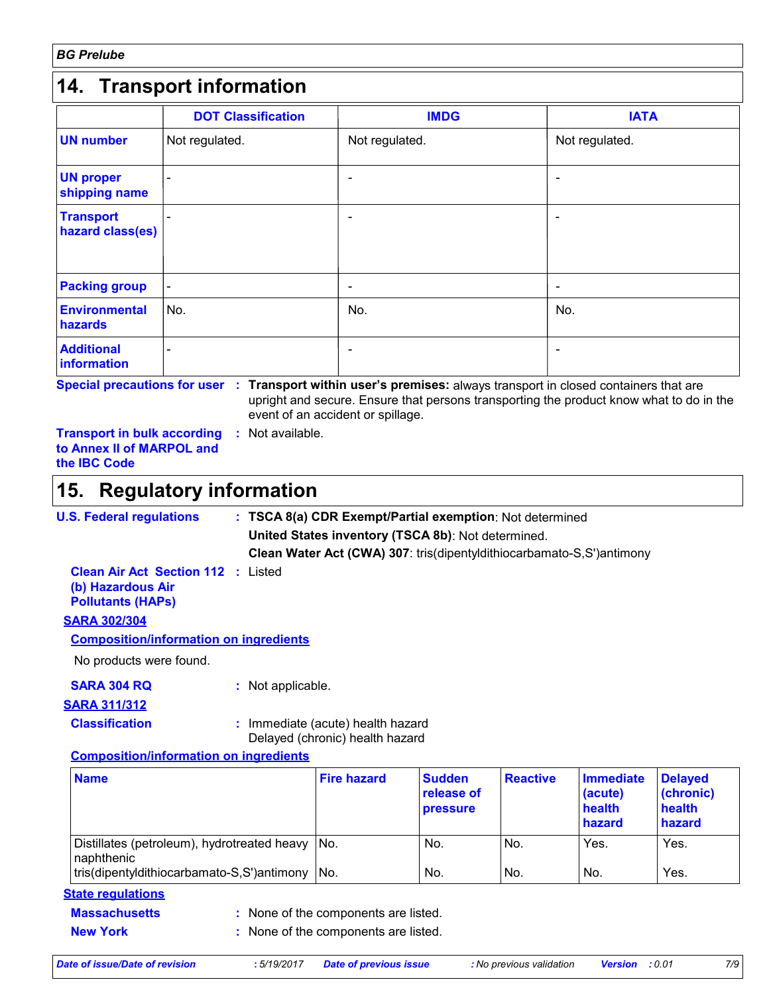### **14. Transport information**

|                                      | <b>DOT Classification</b> | <b>IMDG</b>    | <b>IATA</b>    |
|--------------------------------------|---------------------------|----------------|----------------|
| <b>UN number</b>                     | Not regulated.            | Not regulated. | Not regulated. |
| <b>UN proper</b><br>shipping name    |                           |                |                |
| <b>Transport</b><br>hazard class(es) |                           |                |                |
| <b>Packing group</b>                 | $\overline{\phantom{a}}$  | ٠              | ٠              |
| <b>Environmental</b><br>hazards      | No.                       | No.            | No.            |
| <b>Additional</b><br>information     |                           |                |                |

**Special precautions for user Transport within user's premises:** always transport in closed containers that are **:** upright and secure. Ensure that persons transporting the product know what to do in the event of an accident or spillage.

**Transport in bulk according :** Not available. **to Annex II of MARPOL and the IBC Code**

### **Regulatory information 15.**

| <b>U.S. Federal regulations</b> | : TSCA 8(a) CDR Exempt/Partial exemption: Not determined              |
|---------------------------------|-----------------------------------------------------------------------|
|                                 | United States inventory (TSCA 8b): Not determined.                    |
|                                 | Clean Water Act (CWA) 307: tris(dipentyldithiocarbamato-S,S')antimony |
|                                 |                                                                       |

**Clean Air Act Section 112 :** Listed **(b) Hazardous Air Pollutants (HAPs)**

### **SARA 302/304**

**Composition/information on ingredients**

No products were found.

**SARA 304 RQ :** Not applicable.

**SARA 311/312**

**Classification :** Immediate (acute) health hazard Delayed (chronic) health hazard

#### **Composition/information on ingredients**

| <b>Name</b>                                                   | <b>Fire hazard</b> | <b>Sudden</b><br>release of<br><b>pressure</b> | <b>Reactive</b> | <b>Immediate</b><br>(acute)<br>health<br>hazard | <b>Delayed</b><br>(chronic)<br>health<br>hazard |
|---------------------------------------------------------------|--------------------|------------------------------------------------|-----------------|-------------------------------------------------|-------------------------------------------------|
| Distillates (petroleum), hydrotreated heavy No.<br>naphthenic |                    | No.                                            | INo.            | Yes.                                            | Yes.                                            |
| tris(dipentyldithiocarbamato-S,S')antimony                    | INo.               | No.                                            | INo.            | No.                                             | Yes.                                            |

### **State regulations**

None of the components are listed. **:**

- **Massachusetts**
- **New York :** None of the components are listed.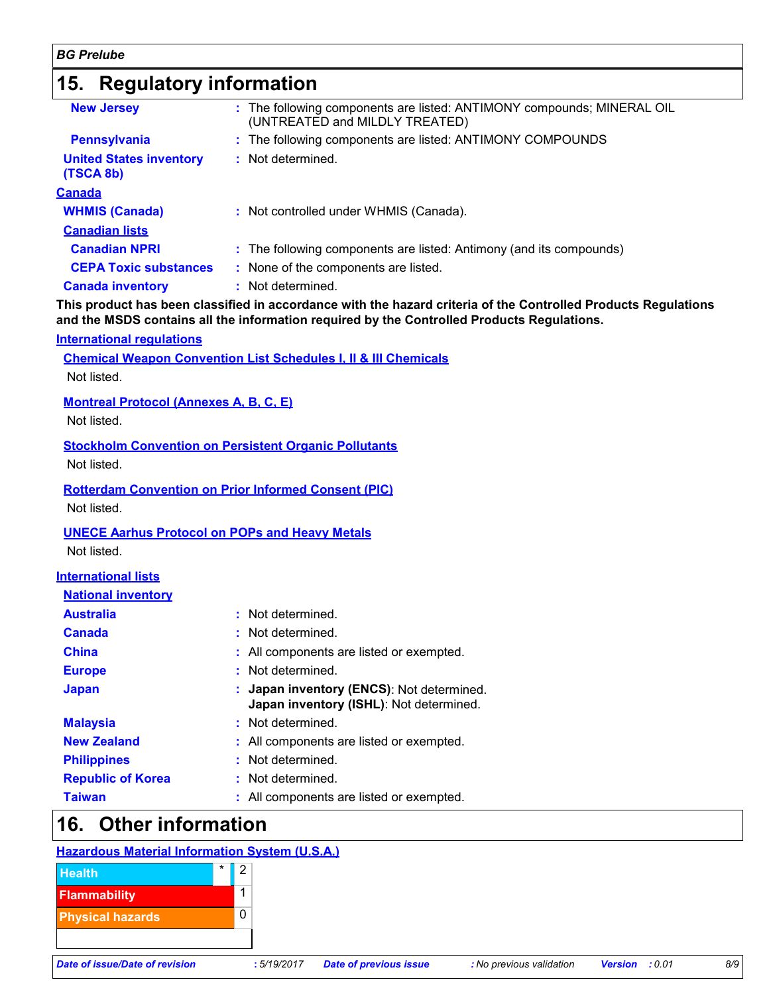### **15. Regulatory information**

| <b>New Jersey</b>                           | : The following components are listed: ANTIMONY compounds; MINERAL OIL<br>(UNTREATED and MILDLY TREATED) |
|---------------------------------------------|----------------------------------------------------------------------------------------------------------|
| <b>Pennsylvania</b>                         | : The following components are listed: ANTIMONY COMPOUNDS                                                |
| <b>United States inventory</b><br>(TSCA 8b) | : Not determined.                                                                                        |
| <u>Canada</u>                               |                                                                                                          |
| <b>WHMIS (Canada)</b>                       | : Not controlled under WHMIS (Canada).                                                                   |
| <b>Canadian lists</b>                       |                                                                                                          |
| <b>Canadian NPRI</b>                        | : The following components are listed: Antimony (and its compounds)                                      |
| <b>CEPA Toxic substances</b>                | : None of the components are listed.                                                                     |
| <b>Canada inventory</b>                     | : Not determined.                                                                                        |

**This product has been classified in accordance with the hazard criteria of the Controlled Products Regulations and the MSDS contains all the information required by the Controlled Products Regulations.**

#### **International regulations**

**Chemical Weapon Convention List Schedules I, II & III Chemicals**

Not listed.

#### **Montreal Protocol (Annexes A, B, C, E)**

Not listed.

#### **Stockholm Convention on Persistent Organic Pollutants**

Not listed.

#### **Rotterdam Convention on Prior Informed Consent (PIC)** Not listed.

### **UNECE Aarhus Protocol on POPs and Heavy Metals**

Not listed.

#### **International lists**

| <b>National inventory</b> |                                                                                      |
|---------------------------|--------------------------------------------------------------------------------------|
| <b>Australia</b>          | : Not determined.                                                                    |
| <b>Canada</b>             | : Not determined.                                                                    |
| <b>China</b>              | : All components are listed or exempted.                                             |
| <b>Europe</b>             | : Not determined.                                                                    |
| <b>Japan</b>              | : Japan inventory (ENCS): Not determined.<br>Japan inventory (ISHL): Not determined. |
| <b>Malaysia</b>           | : Not determined.                                                                    |
| <b>New Zealand</b>        | : All components are listed or exempted.                                             |
| <b>Philippines</b>        | : Not determined.                                                                    |
| <b>Republic of Korea</b>  | : Not determined.                                                                    |
| <b>Taiwan</b>             | : All components are listed or exempted.                                             |

### **16. Other information**

### **Hazardous Material Information System (U.S.A.)**